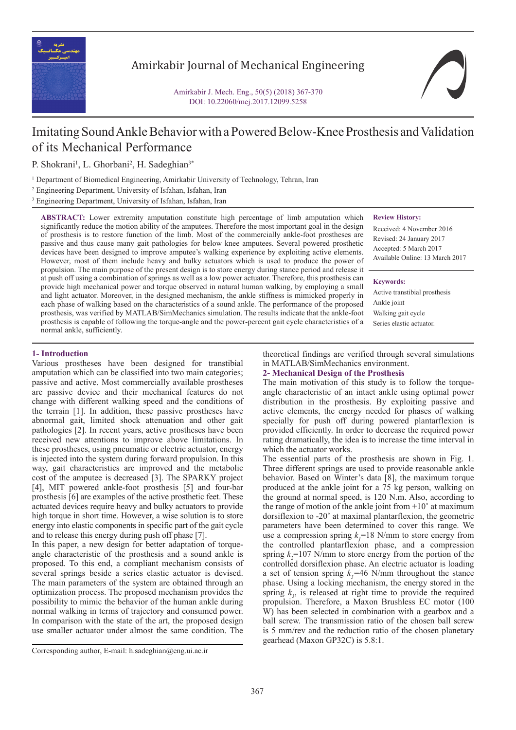

## Amirkabir Journal of Mechanical Engineering

Amirkabir J. Mech. Eng., 50(5) (2018) 367-370 DOI: 10.22060/mej.2017.12099.5258



# Imitating Sound Ankle Behavior with a Powered Below-Knee Prosthesis and Validation of its Mechanical Performance

P. Shokrani<sup>1</sup>, L. Ghorbani<sup>2</sup>, H. Sadeghian<sup>3\*</sup>

1 Department of Biomedical Engineering, Amirkabir University of Technology, Tehran, Iran

2 Engineering Department, University of Isfahan, Isfahan, Iran

3 Engineering Department, University of Isfahan, Isfahan, Iran

**ABSTRACT:** Lower extremity amputation constitute high percentage of limb amputation which significantly reduce the motion ability of the amputees. Therefore the most important goal in the design of prosthesis is to restore function of the limb. Most of the commercially ankle-foot prostheses are passive and thus cause many gait pathologies for below knee amputees. Several powered prosthetic devices have been designed to improve amputee's walking experience by exploiting active elements. However, most of them include heavy and bulky actuators which is used to produce the power of propulsion. The main purpose of the present design is to store energy during stance period and release it at push off using a combination of springs as well as a low power actuator. Therefore, this prosthesis can provide high mechanical power and torque observed in natural human walking, by employing a small and light actuator. Moreover, in the designed mechanism, the ankle stiffness is mimicked properly in each phase of walking based on the characteristics of a sound ankle. The performance of the proposed prosthesis, was verified by MATLAB/SimMechanics simulation. The results indicate that the ankle-foot prosthesis is capable of following the torque-angle and the power-percent gait cycle characteristics of a normal ankle, sufficiently.

**Review History:**

Received: 4 November 2016 Revised: 24 January 2017 Accepted: 5 March 2017 Available Online: 13 March 2017

**Keywords:**

Active transtibial prosthesis Ankle joint Walking gait cycle Series elastic actuator.

## **1- Introduction**

Various prostheses have been designed for transtibial amputation which can be classified into two main categories; passive and active. Most commercially available prostheses are passive device and their mechanical features do not change with different walking speed and the conditions of the terrain [1]. In addition, these passive prostheses have abnormal gait, limited shock attenuation and other gait pathologies [2]. In recent years, active prostheses have been received new attentions to improve above limitations. In these prostheses, using pneumatic or electric actuator, energy is injected into the system during forward propulsion. In this way, gait characteristics are improved and the metabolic cost of the amputee is decreased [3]. The SPARKY project [4], MIT powered ankle-foot prosthesis [5] and four-bar prosthesis [6] are examples of the active prosthetic feet. These actuated devices require heavy and bulky actuators to provide high torque in short time. However, a wise solution is to store energy into elastic components in specific part of the gait cycle and to release this energy during push off phase [7].

In this paper, a new design for better adaptation of torqueangle characteristic of the prosthesis and a sound ankle is proposed. To this end, a compliant mechanism consists of several springs beside a series elastic actuator is devised. The main parameters of the system are obtained through an optimization process. The proposed mechanism provides the possibility to mimic the behavior of the human ankle during normal walking in terms of trajectory and consumed power. In comparison with the state of the art, the proposed design use smaller actuator under almost the same condition. The

theoretical findings are verified through several simulations in MATLAB/SimMechanics environment.

## **2- Mechanical Design of the Prosthesis**

The main motivation of this study is to follow the torqueangle characteristic of an intact ankle using optimal power distribution in the prosthesis. By exploiting passive and active elements, the energy needed for phases of walking specially for push off during powered plantarflexion is provided efficiently. In order to decrease the required power rating dramatically, the idea is to increase the time interval in which the actuator works.

The essential parts of the prosthesis are shown in Fig. 1. Three different springs are used to provide reasonable ankle behavior. Based on Winter's data [8], the maximum torque produced at the ankle joint for a 75 kg person, walking on the ground at normal speed, is 120 N.m. Also, according to the range of motion of the ankle joint from  $+10^{\circ}$  at maximum dorsiflexion to -20˚ at maximal plantarflexion, the geometric parameters have been determined to cover this range. We use a compression spring  $k<sub>j</sub>=18$  N/mm to store energy from the controlled plantarflexion phase, and a compression spring  $k_2$ =107 N/mm to store energy from the portion of the controlled dorsiflexion phase. An electric actuator is loading a set of tension spring  $k_3$ =46 N/mm throughout the stance phase. Using a locking mechanism, the energy stored in the spring  $k_3$ , is released at right time to provide the required propulsion. Therefore, a Maxon Brushless EC motor (100 W) has been selected in combination with a gearbox and a ball screw. The transmission ratio of the chosen ball screw is 5 mm/rev and the reduction ratio of the chosen planetary gearhead (Maxon GP32C) is 5.8:1.

Corresponding author, E-mail: h.sadeghian@eng.ui.ac.ir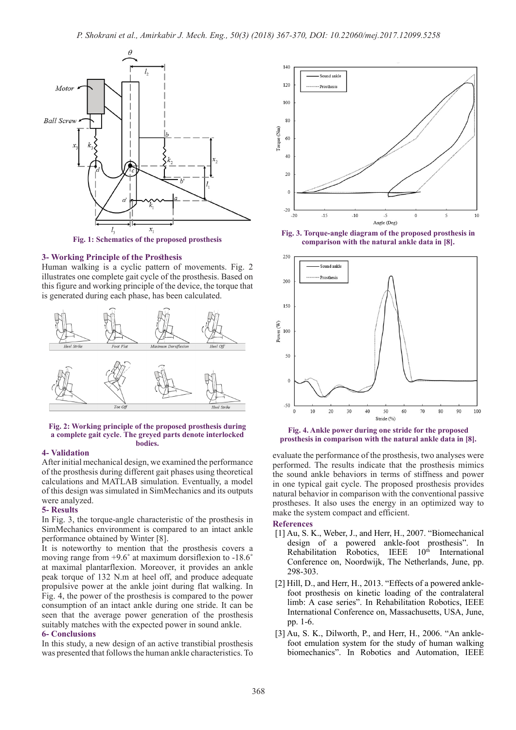

**Fig. 1: Schematics of the proposed prosthesis**

## **3- Working Principle of the Prosthesis**

Human walking is a cyclic pattern of movements. Fig. 2 illustrates one complete gait cycle of the prosthesis. Based on this figure and working principle of the device, the torque that is generated during each phase, has been calculated.



#### **Fig. 2: Working principle of the proposed prosthesis during a complete gait cycle**. **The greyed parts denote interlocked bodies.**

## **4- Validation**

After initial mechanical design, we examined the performance of the prosthesis during different gait phases using theoretical calculations and MATLAB simulation. Eventually, a model of this design was simulated in SimMechanics and its outputs were analyzed.

## **5- Results**

In Fig. 3, the torque-angle characteristic of the prosthesis in SimMechanics environment is compared to an intact ankle performance obtained by Winter [8].

It is noteworthy to mention that the prosthesis covers a moving range from +9.6**˚** at maximum dorsiflexion to -18.6**˚** at maximal plantarflexion. Moreover, it provides an ankle peak torque of 132 N.m at heel off, and produce adequate propulsive power at the ankle joint during flat walking. In Fig. 4, the power of the prosthesis is compared to the power consumption of an intact ankle during one stride. It can be seen that the average power generation of the prosthesis suitably matches with the expected power in sound ankle.

## **6- Conclusions**

In this study, a new design of an active transtibial prosthesis was presented that follows the human ankle characteristics. To



**Fig. 3. Torque-angle diagram of the proposed prosthesis in comparison with the natural ankle data in [8].**



**Fig. 4. Ankle power during one stride for the proposed prosthesis in comparison with the natural ankle data in [8].**

evaluate the performance of the prosthesis, two analyses were performed. The results indicate that the prosthesis mimics the sound ankle behaviors in terms of stiffness and power in one typical gait cycle. The proposed prosthesis provides natural behavior in comparison with the conventional passive prostheses. It also uses the energy in an optimized way to make the system compact and efficient.

### **References**

- [1] Au, S. K., Weber, J., and Herr, H., 2007. "Biomechanical design of a powered ankle-foot prosthesis". In Rehabilitation Robotics, IEEE 10<sup>th</sup> International Conference on, Noordwijk, The Netherlands, June, pp. 298-303.
- [2] Hill, D., and Herr, H., 2013. "Effects of a powered anklefoot prosthesis on kinetic loading of the contralateral limb: A case series". In Rehabilitation Robotics, IEEE International Conference on, Massachusetts, USA, June, pp. 1-6.
- [3] Au, S. K., Dilworth, P., and Herr, H., 2006. "An anklefoot emulation system for the study of human walking biomechanics". In Robotics and Automation, IEEE